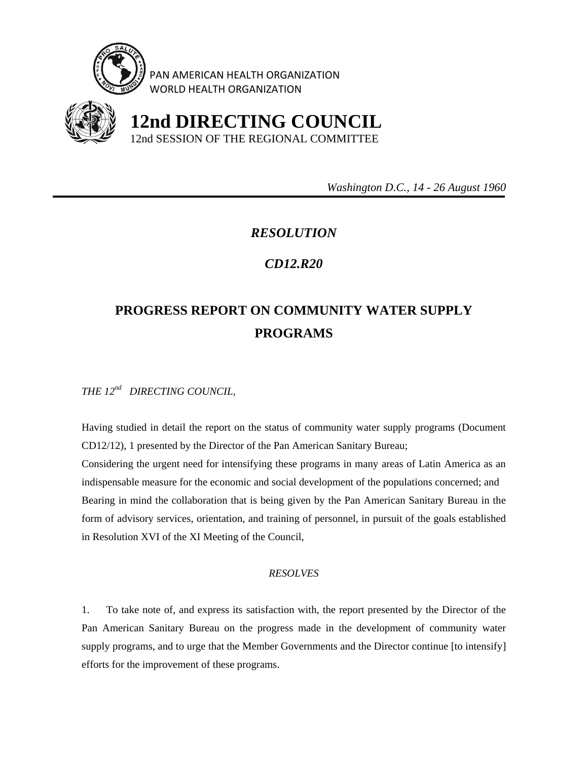

PAN AMERICAN HEALTH ORGANIZATION WORLD HEALTH ORGANIZATION



 **12nd DIRECTING COUNCIL** 12nd SESSION OF THE REGIONAL COMMITTEE

 *Washington D.C., 14 - 26 August 1960* 

## *RESOLUTION*

## *CD12.R20*

## **PROGRESS REPORT ON COMMUNITY WATER SUPPLY PROGRAMS**

*THE 12nd DIRECTING COUNCIL,* 

Having studied in detail the report on the status of community water supply programs (Document CD12/12), 1 presented by the Director of the Pan American Sanitary Bureau;

Considering the urgent need for intensifying these programs in many areas of Latin America as an indispensable measure for the economic and social development of the populations concerned; and Bearing in mind the collaboration that is being given by the Pan American Sanitary Bureau in the form of advisory services, orientation, and training of personnel, in pursuit of the goals established in Resolution XVI of the XI Meeting of the Council,

## *RESOLVES*

1. To take note of, and express its satisfaction with, the report presented by the Director of the Pan American Sanitary Bureau on the progress made in the development of community water supply programs, and to urge that the Member Governments and the Director continue [to intensify] efforts for the improvement of these programs.